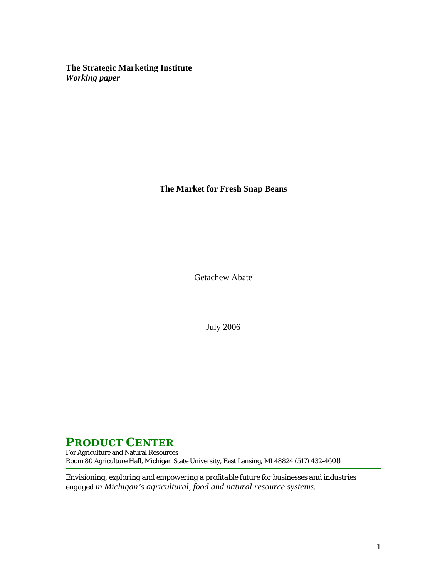**The Strategic Marketing Institute**  *Working paper* 

**The Market for Fresh Snap Beans** 

Getachew Abate

July 2006

# **PRODUCT CENTER**

For Agriculture and Natural Resources Room 80 Agriculture Hall, Michigan State University, East Lansing, MI 48824 (517) 432-4608

*Envisioning, exploring and empowering a profitable future for businesses and industries engaged in Michigan's agricultural, food and natural resource systems.*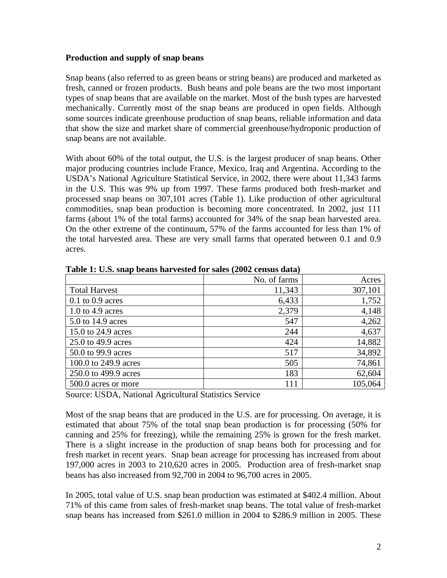# **Production and supply of snap beans**

Snap beans (also referred to as green beans or string beans) are produced and marketed as fresh, canned or frozen products. Bush beans and pole beans are the two most important types of snap beans that are available on the market. Most of the bush types are harvested mechanically. Currently most of the snap beans are produced in open fields. Although some sources indicate greenhouse production of snap beans, reliable information and data that show the size and market share of commercial greenhouse/hydroponic production of snap beans are not available.

With about 60% of the total output, the U.S. is the largest producer of snap beans. Other major producing countries include France, Mexico, Iraq and Argentina. According to the USDA's National Agriculture Statistical Service, in 2002, there were about 11,343 farms in the U.S. This was 9% up from 1997. These farms produced both fresh-market and processed snap beans on 307,101 acres (Table 1). Like production of other agricultural commodities, snap bean production is becoming more concentrated. In 2002, just 111 farms (about 1% of the total farms) accounted for 34% of the snap bean harvested area. On the other extreme of the continuum, 57% of the farms accounted for less than 1% of the total harvested area. These are very small farms that operated between 0.1 and 0.9 acres.

|                      | No. of farms | Acres   |
|----------------------|--------------|---------|
| <b>Total Harvest</b> | 11,343       | 307,101 |
| $0.1$ to $0.9$ acres | 6,433        | 1,752   |
| 1.0 to 4.9 acres     | 2,379        | 4,148   |
| 5.0 to 14.9 acres    | 547          | 4,262   |
| 15.0 to 24.9 acres   | 244          | 4,637   |
| 25.0 to 49.9 acres   | 424          | 14,882  |
| 50.0 to 99.9 acres   | 517          | 34,892  |
| 100.0 to 249.9 acres | 505          | 74,861  |
| 250.0 to 499.9 acres | 183          | 62,604  |
| 500.0 acres or more  | 111          | 105,064 |

**Table 1: U.S. snap beans harvested for sales (2002 census data)** 

Source: USDA, National Agricultural Statistics Service

Most of the snap beans that are produced in the U.S. are for processing. On average, it is estimated that about 75% of the total snap bean production is for processing (50% for canning and 25% for freezing), while the remaining 25% is grown for the fresh market. There is a slight increase in the production of snap beans both for processing and for fresh market in recent years. Snap bean acreage for processing has increased from about 197,000 acres in 2003 to 210,620 acres in 2005. Production area of fresh-market snap beans has also increased from 92,700 in 2004 to 96,700 acres in 2005.

In 2005, total value of U.S. snap bean production was estimated at \$402.4 million. About 71% of this came from sales of fresh-market snap beans. The total value of fresh-market snap beans has increased from \$261.0 million in 2004 to \$286.9 million in 2005. These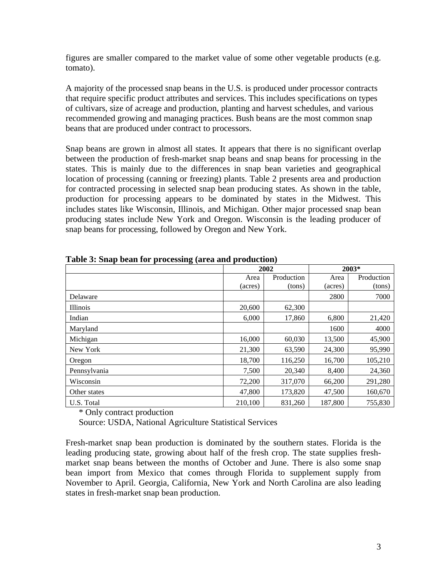figures are smaller compared to the market value of some other vegetable products (e.g. tomato).

A majority of the processed snap beans in the U.S. is produced under processor contracts that require specific product attributes and services. This includes specifications on types of cultivars, size of acreage and production, planting and harvest schedules, and various recommended growing and managing practices. Bush beans are the most common snap beans that are produced under contract to processors.

Snap beans are grown in almost all states. It appears that there is no significant overlap between the production of fresh-market snap beans and snap beans for processing in the states. This is mainly due to the differences in snap bean varieties and geographical location of processing (canning or freezing) plants. Table 2 presents area and production for contracted processing in selected snap bean producing states. As shown in the table, production for processing appears to be dominated by states in the Midwest. This includes states like Wisconsin, Illinois, and Michigan. Other major processed snap bean producing states include New York and Oregon. Wisconsin is the leading producer of snap beans for processing, followed by Oregon and New York.

|                 | 2002    |            | $2003*$ |            |
|-----------------|---------|------------|---------|------------|
|                 | Area    | Production | Area    | Production |
|                 | (acres) | (tons)     | (acres) | (tons)     |
| Delaware        |         |            | 2800    | 7000       |
| <b>Illinois</b> | 20,600  | 62,300     |         |            |
| Indian          | 6,000   | 17,860     | 6,800   | 21,420     |
| Maryland        |         |            | 1600    | 4000       |
| Michigan        | 16,000  | 60,030     | 13,500  | 45,900     |
| New York        | 21,300  | 63,590     | 24,300  | 95,990     |
| Oregon          | 18.700  | 116,250    | 16,700  | 105,210    |
| Pennsylvania    | 7,500   | 20,340     | 8,400   | 24,360     |
| Wisconsin       | 72,200  | 317,070    | 66,200  | 291,280    |
| Other states    | 47,800  | 173,820    | 47,500  | 160,670    |
| U.S. Total      | 210,100 | 831,260    | 187,800 | 755,830    |

**Table 3: Snap bean for processing (area and production)** 

\* Only contract production

Source: USDA, National Agriculture Statistical Services

Fresh-market snap bean production is dominated by the southern states. Florida is the leading producing state, growing about half of the fresh crop. The state supplies freshmarket snap beans between the months of October and June. There is also some snap bean import from Mexico that comes through Florida to supplement supply from November to April. Georgia, California, New York and North Carolina are also leading states in fresh-market snap bean production.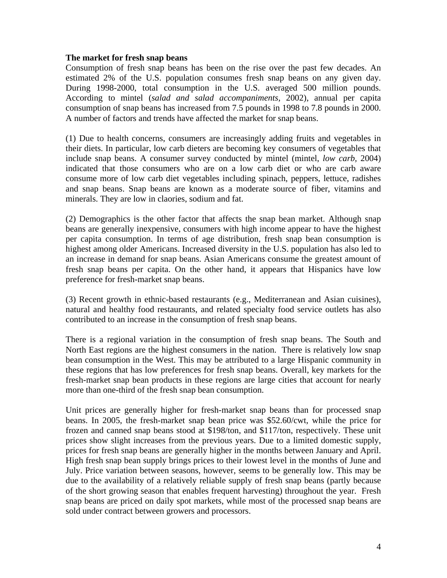### **The market for fresh snap beans**

Consumption of fresh snap beans has been on the rise over the past few decades. An estimated 2% of the U.S. population consumes fresh snap beans on any given day. During 1998-2000, total consumption in the U.S. averaged 500 million pounds. According to mintel (*salad and salad accompaniments,* 2002), annual per capita consumption of snap beans has increased from 7.5 pounds in 1998 to 7.8 pounds in 2000. A number of factors and trends have affected the market for snap beans.

(1) Due to health concerns, consumers are increasingly adding fruits and vegetables in their diets. In particular, low carb dieters are becoming key consumers of vegetables that include snap beans. A consumer survey conducted by mintel (mintel, *low carb,* 2004) indicated that those consumers who are on a low carb diet or who are carb aware consume more of low carb diet vegetables including spinach, peppers, lettuce, radishes and snap beans. Snap beans are known as a moderate source of fiber, vitamins and minerals. They are low in claories, sodium and fat.

(2) Demographics is the other factor that affects the snap bean market. Although snap beans are generally inexpensive, consumers with high income appear to have the highest per capita consumption. In terms of age distribution, fresh snap bean consumption is highest among older Americans. Increased diversity in the U.S. population has also led to an increase in demand for snap beans. Asian Americans consume the greatest amount of fresh snap beans per capita. On the other hand, it appears that Hispanics have low preference for fresh-market snap beans.

(3) Recent growth in ethnic-based restaurants (e.g., Mediterranean and Asian cuisines), natural and healthy food restaurants, and related specialty food service outlets has also contributed to an increase in the consumption of fresh snap beans.

There is a regional variation in the consumption of fresh snap beans. The South and North East regions are the highest consumers in the nation. There is relatively low snap bean consumption in the West. This may be attributed to a large Hispanic community in these regions that has low preferences for fresh snap beans. Overall, key markets for the fresh-market snap bean products in these regions are large cities that account for nearly more than one-third of the fresh snap bean consumption.

Unit prices are generally higher for fresh-market snap beans than for processed snap beans. In 2005, the fresh-market snap bean price was \$52.60/cwt, while the price for frozen and canned snap beans stood at \$198/ton, and \$117/ton, respectively. These unit prices show slight increases from the previous years. Due to a limited domestic supply, prices for fresh snap beans are generally higher in the months between January and April. High fresh snap bean supply brings prices to their lowest level in the months of June and July. Price variation between seasons, however, seems to be generally low. This may be due to the availability of a relatively reliable supply of fresh snap beans (partly because of the short growing season that enables frequent harvesting) throughout the year. Fresh snap beans are priced on daily spot markets, while most of the processed snap beans are sold under contract between growers and processors.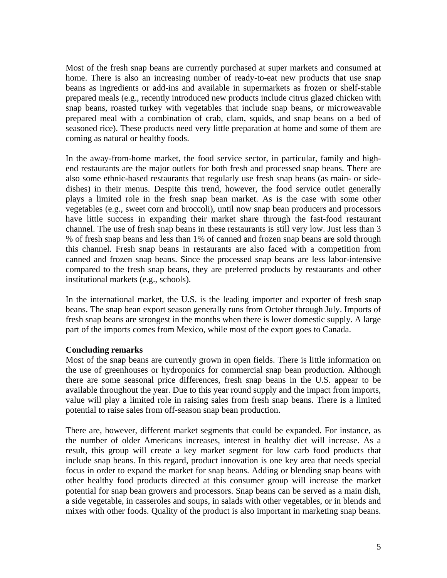Most of the fresh snap beans are currently purchased at super markets and consumed at home. There is also an increasing number of ready-to-eat new products that use snap beans as ingredients or add-ins and available in supermarkets as frozen or shelf-stable prepared meals (e.g., recently introduced new products include citrus glazed chicken with snap beans, roasted turkey with vegetables that include snap beans, or microweavable prepared meal with a combination of crab, clam, squids, and snap beans on a bed of seasoned rice). These products need very little preparation at home and some of them are coming as natural or healthy foods.

In the away-from-home market, the food service sector, in particular, family and highend restaurants are the major outlets for both fresh and processed snap beans. There are also some ethnic-based restaurants that regularly use fresh snap beans (as main- or sidedishes) in their menus. Despite this trend, however, the food service outlet generally plays a limited role in the fresh snap bean market. As is the case with some other vegetables (e.g., sweet corn and broccoli), until now snap bean producers and processors have little success in expanding their market share through the fast-food restaurant channel. The use of fresh snap beans in these restaurants is still very low. Just less than 3 % of fresh snap beans and less than 1% of canned and frozen snap beans are sold through this channel. Fresh snap beans in restaurants are also faced with a competition from canned and frozen snap beans. Since the processed snap beans are less labor-intensive compared to the fresh snap beans, they are preferred products by restaurants and other institutional markets (e.g., schools).

In the international market, the U.S. is the leading importer and exporter of fresh snap beans. The snap bean export season generally runs from October through July. Imports of fresh snap beans are strongest in the months when there is lower domestic supply. A large part of the imports comes from Mexico, while most of the export goes to Canada.

# **Concluding remarks**

Most of the snap beans are currently grown in open fields. There is little information on the use of greenhouses or hydroponics for commercial snap bean production. Although there are some seasonal price differences, fresh snap beans in the U.S. appear to be available throughout the year. Due to this year round supply and the impact from imports, value will play a limited role in raising sales from fresh snap beans. There is a limited potential to raise sales from off-season snap bean production.

There are, however, different market segments that could be expanded. For instance, as the number of older Americans increases, interest in healthy diet will increase. As a result, this group will create a key market segment for low carb food products that include snap beans. In this regard, product innovation is one key area that needs special focus in order to expand the market for snap beans. Adding or blending snap beans with other healthy food products directed at this consumer group will increase the market potential for snap bean growers and processors. Snap beans can be served as a main dish, a side vegetable, in casseroles and soups, in salads with other vegetables, or in blends and mixes with other foods. Quality of the product is also important in marketing snap beans.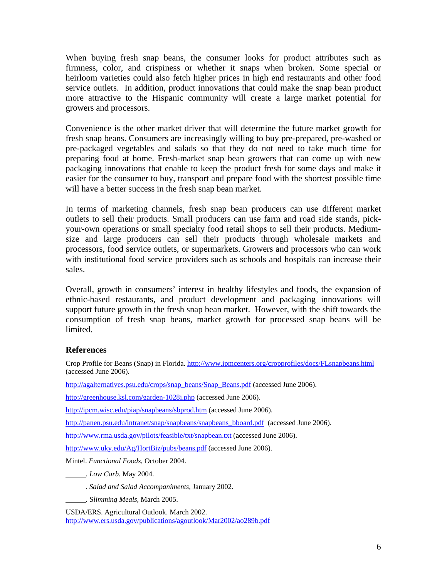When buying fresh snap beans, the consumer looks for product attributes such as firmness, color, and crispiness or whether it snaps when broken. Some special or heirloom varieties could also fetch higher prices in high end restaurants and other food service outlets. In addition, product innovations that could make the snap bean product more attractive to the Hispanic community will create a large market potential for growers and processors.

Convenience is the other market driver that will determine the future market growth for fresh snap beans. Consumers are increasingly willing to buy pre-prepared, pre-washed or pre-packaged vegetables and salads so that they do not need to take much time for preparing food at home. Fresh-market snap bean growers that can come up with new packaging innovations that enable to keep the product fresh for some days and make it easier for the consumer to buy, transport and prepare food with the shortest possible time will have a better success in the fresh snap bean market.

In terms of marketing channels, fresh snap bean producers can use different market outlets to sell their products. Small producers can use farm and road side stands, pickyour-own operations or small specialty food retail shops to sell their products. Mediumsize and large producers can sell their products through wholesale markets and processors, food service outlets, or supermarkets. Growers and processors who can work with institutional food service providers such as schools and hospitals can increase their sales.

Overall, growth in consumers' interest in healthy lifestyles and foods, the expansion of ethnic-based restaurants, and product development and packaging innovations will support future growth in the fresh snap bean market. However, with the shift towards the consumption of fresh snap beans, market growth for processed snap beans will be limited.

#### **References**

Crop Profile for Beans (Snap) in Florida. <http://www.ipmcenters.org/cropprofiles/docs/FLsnapbeans.html> (accessed June 2006).

[http://agalternatives.psu.edu/crops/snap\\_beans/Snap\\_Beans.pdf](http://agalternatives.psu.edu/crops/snap_beans/Snap_Beans.pdf) (accessed June 2006).

<http://greenhouse.ksl.com/garden-1028i.php>(accessed June 2006).

<http://ipcm.wisc.edu/piap/snapbeans/sbprod.htm>(accessed June 2006).

[http://panen.psu.edu/intranet/snap/snapbeans/snapbeans\\_bboard.pdf](http://panen.psu.edu/intranet/snap/snapbeans/snapbeans_bboard.pdf) (accessed June 2006).

<http://www.rma.usda.gov/pilots/feasible/txt/snapbean.txt> (accessed June 2006).

<http://www.uky.edu/Ag/HortBiz/pubs/beans.pdf> (accessed June 2006).

Mintel. *Functional Foods,* October 2004.

. *Low Carb.* May 2004.

. *Salad and Salad Accompaniments,* January 2002.

. S*limming Meals*, March 2005.

USDA/ERS. Agricultural Outlook. March 2002. <http://www.ers.usda.gov/publications/agoutlook/Mar2002/ao289b.pdf>